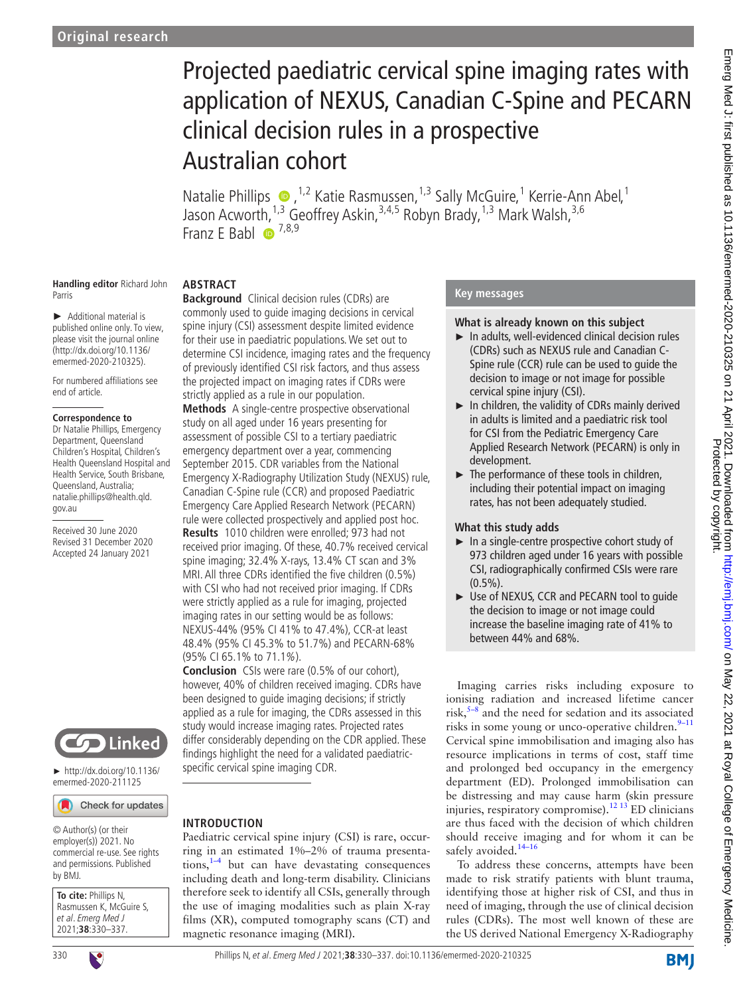# Projected paediatric cervical spine imaging rates with application of NEXUS, Canadian C-Spine and PECARN clinical decision rules in a prospective Australian cohort

Natalie Phillips (D, <sup>1,2</sup> Katie Rasmussen, <sup>1,3</sup> Sally McGuire, <sup>1</sup> Kerrie-Ann Abel, <sup>1</sup> Jason Acwort[h,](http://orcid.org/0000-0002-1107-2187)<sup>1,3</sup> Geoffrey Askin,<sup>3,4,5</sup> Robyn Brady,<sup>1,3</sup> Mark Walsh,<sup>3,6</sup> Franz E Babl  $\overrightarrow{0}^{7,8,9}$ 

#### **Handling editor** Richard John Parris

► Additional material is published online only. To view, please visit the journal online (http://dx.doi.org/10.1136/ emermed-2020-210325).

For numbered affiliations see end of article.

#### **Correspondence to**

Dr Natalie Phillips, Emergency Department, Queensland Children's Hospital, Children's Health Queensland Hospital and Health Service, South Brisbane, Queensland, Australia; natalie.phillips@health.qld. gov.au

Received 30 June 2020 Revised 31 December 2020 Accepted 24 January 2021



► [http://dx.doi.org/10.1136/](http://dx.doi.org/10.1136/emermed-2020-211125) [emermed-2020-211125](http://dx.doi.org/10.1136/emermed-2020-211125)

### Check for updates

© Author(s) (or their employer(s)) 2021. No commercial re-use. See rights and permissions. Published by BMJ.

| To cite: Phillips N,    |  |  |  |  |
|-------------------------|--|--|--|--|
| Rasmussen K, McGuire S, |  |  |  |  |
| et al. Emerg Med J      |  |  |  |  |
| 2021;38:330-337.        |  |  |  |  |

# **Background** Clinical decision rules (CDRs) are

**ABSTRACT**

commonly used to guide imaging decisions in cervical spine injury (CSI) assessment despite limited evidence for their use in paediatric populations. We set out to determine CSI incidence, imaging rates and the frequency of previously identified CSI risk factors, and thus assess the projected impact on imaging rates if CDRs were strictly applied as a rule in our population.

**Methods** A single-centre prospective observational study on all aged under 16 years presenting for assessment of possible CSI to a tertiary paediatric emergency department over a year, commencing September 2015. CDR variables from the National Emergency X-Radiography Utilization Study (NEXUS) rule, Canadian C-Spine rule (CCR) and proposed Paediatric Emergency Care Applied Research Network (PECARN) rule were collected prospectively and applied post hoc. **Results** 1010 children were enrolled; 973 had not received prior imaging. Of these, 40.7% received cervical spine imaging; 32.4% X-rays, 13.4% CT scan and 3% MRI. All three CDRs identified the five children (0.5%) with CSI who had not received prior imaging. If CDRs were strictly applied as a rule for imaging, projected imaging rates in our setting would be as follows: NEXUS-44% (95% CI 41% to 47.4%), CCR-at least 48.4% (95% CI 45.3% to 51.7%) and PECARN-68% (95% CI 65.1% to 71.1%).

**Conclusion** CSIs were rare (0.5% of our cohort), however, 40% of children received imaging. CDRs have been designed to guide imaging decisions; if strictly applied as a rule for imaging, the CDRs assessed in this study would increase imaging rates. Projected rates differ considerably depending on the CDR applied. These findings highlight the need for a validated paediatricspecific cervical spine imaging CDR.

## **INTRODUCTION**

Paediatric cervical spine injury (CSI) is rare, occurring in an estimated 1%–2% of trauma presentations, $1-4$  but can have devastating consequences including death and long-term disability. Clinicians therefore seek to identify all CSIs, generally through the use of imaging modalities such as plain X-ray films (XR), computed tomography scans (CT) and magnetic resonance imaging (MRI).

## **Key messages**

### **What is already known on this subject**

- ► In adults, well-evidenced clinical decision rules (CDRs) such as NEXUS rule and Canadian C-Spine rule (CCR) rule can be used to guide the decision to image or not image for possible cervical spine injury (CSI).
- ► In children, the validity of CDRs mainly derived in adults is limited and a paediatric risk tool for CSI from the Pediatric Emergency Care Applied Research Network (PECARN) is only in development.
- ► The performance of these tools in children, including their potential impact on imaging rates, has not been adequately studied.

## **What this study adds**

- ► In a single-centre prospective cohort study of 973 children aged under 16 years with possible CSI, radiographically confirmed CSIs were rare  $(0.5\%)$ .
- ► Use of NEXUS, CCR and PECARN tool to guide the decision to image or not image could increase the baseline imaging rate of 41% to between 44% and 68%.

Imaging carries risks including exposure to ionising radiation and increased lifetime cancer risk, $5-8$  and the need for sedation and its associated risks in some young or unco-operative children. $9-11$ Cervical spine immobilisation and imaging also has resource implications in terms of cost, staff time and prolonged bed occupancy in the emergency department (ED). Prolonged immobilisation can be distressing and may cause harm (skin pressure injuries, respiratory compromise).<sup>12 13</sup> ED clinicians are thus faced with the decision of which children should receive imaging and for whom it can be safely avoided.<sup>14-16</sup>

To address these concerns, attempts have been made to risk stratify patients with blunt trauma, identifying those at higher risk of CSI, and thus in need of imaging, through the use of clinical decision rules (CDRs). The most well known of these are the US derived National Emergency X-Radiography

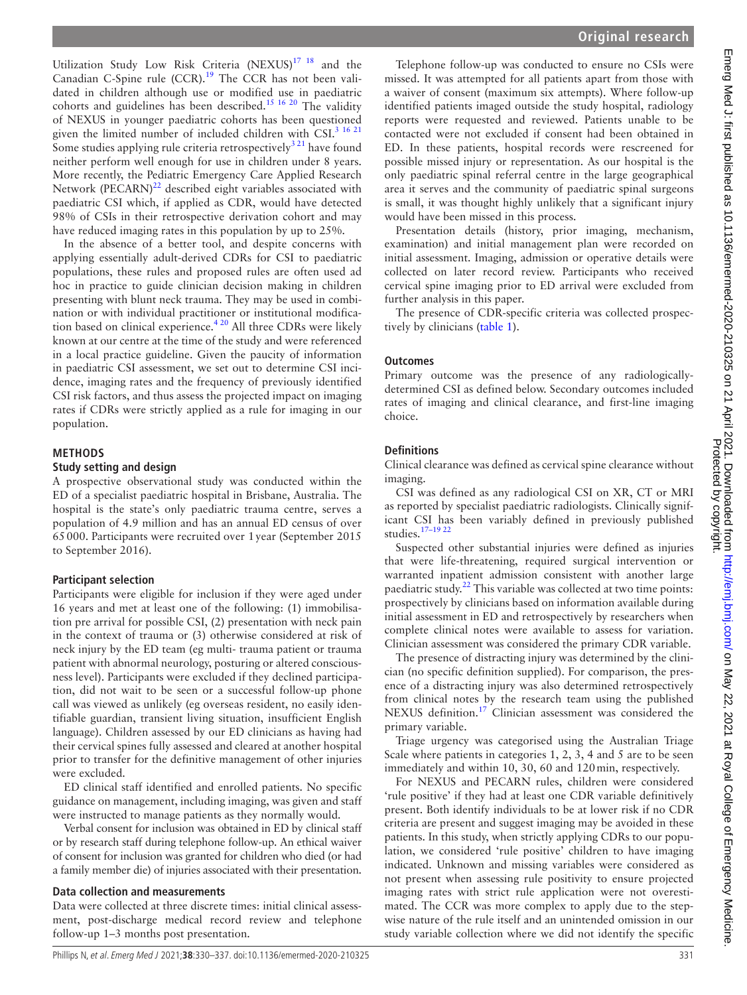Utilization Study Low Risk Criteria (NEXUS)<sup>17</sup> <sup>18</sup> and the Canadian C-Spine rule (CCR).[19](#page-7-2) The CCR has not been validated in children although use or modified use in paediatric cohorts and guidelines has been described[.15 16 20](#page-7-3) The validity of NEXUS in younger paediatric cohorts has been questioned given the limited number of included children with  $CSI<sup>3 16 21</sup>$ Some studies applying rule criteria retrospectively<sup>3 21</sup> have found neither perform well enough for use in children under 8 years. More recently, the Pediatric Emergency Care Applied Research Network (PECARN) $^{22}$  described eight variables associated with paediatric CSI which, if applied as CDR, would have detected 98% of CSIs in their retrospective derivation cohort and may have reduced imaging rates in this population by up to 25%.

In the absence of a better tool, and despite concerns with applying essentially adult-derived CDRs for CSI to paediatric populations, these rules and proposed rules are often used ad hoc in practice to guide clinician decision making in children presenting with blunt neck trauma. They may be used in combination or with individual practitioner or institutional modifica-tion based on clinical experience.<sup>[4 20](#page-6-5)</sup> All three CDRs were likely known at our centre at the time of the study and were referenced in a local practice guideline. Given the paucity of information in paediatric CSI assessment, we set out to determine CSI incidence, imaging rates and the frequency of previously identified CSI risk factors, and thus assess the projected impact on imaging rates if CDRs were strictly applied as a rule for imaging in our population.

#### **METHODS**

#### **Study setting and design**

A prospective observational study was conducted within the ED of a specialist paediatric hospital in Brisbane, Australia. The hospital is the state's only paediatric trauma centre, serves a population of 4.9 million and has an annual ED census of over 65000. Participants were recruited over 1year (September 2015 to September 2016).

#### **Participant selection**

Participants were eligible for inclusion if they were aged under 16 years and met at least one of the following: (1) immobilisation pre arrival for possible CSI, (2) presentation with neck pain in the context of trauma or (3) otherwise considered at risk of neck injury by the ED team (eg multi- trauma patient or trauma patient with abnormal neurology, posturing or altered consciousness level). Participants were excluded if they declined participation, did not wait to be seen or a successful follow-up phone call was viewed as unlikely (eg overseas resident, no easily identifiable guardian, transient living situation, insufficient English language). Children assessed by our ED clinicians as having had their cervical spines fully assessed and cleared at another hospital prior to transfer for the definitive management of other injuries were excluded.

ED clinical staff identified and enrolled patients. No specific guidance on management, including imaging, was given and staff were instructed to manage patients as they normally would.

Verbal consent for inclusion was obtained in ED by clinical staff or by research staff during telephone follow-up. An ethical waiver of consent for inclusion was granted for children who died (or had a family member die) of injuries associated with their presentation.

#### **Data collection and measurements**

Data were collected at three discrete times: initial clinical assessment, post-discharge medical record review and telephone follow-up 1–3 months post presentation.

Telephone follow-up was conducted to ensure no CSIs were missed. It was attempted for all patients apart from those with a waiver of consent (maximum six attempts). Where follow-up identified patients imaged outside the study hospital, radiology reports were requested and reviewed. Patients unable to be contacted were not excluded if consent had been obtained in ED. In these patients, hospital records were rescreened for possible missed injury or representation. As our hospital is the only paediatric spinal referral centre in the large geographical area it serves and the community of paediatric spinal surgeons is small, it was thought highly unlikely that a significant injury would have been missed in this process.

Presentation details (history, prior imaging, mechanism, examination) and initial management plan were recorded on initial assessment. Imaging, admission or operative details were collected on later record review. Participants who received cervical spine imaging prior to ED arrival were excluded from further analysis in this paper.

The presence of CDR-specific criteria was collected prospectively by clinicians ([table](#page-2-0) 1).

#### **Outcomes**

Primary outcome was the presence of any radiologicallydetermined CSI as defined below. Secondary outcomes included rates of imaging and clinical clearance, and first-line imaging choice.

#### **Definitions**

Clinical clearance was defined as cervical spine clearance without imaging.

CSI was defined as any radiological CSI on XR, CT or MRI as reported by specialist paediatric radiologists. Clinically significant CSI has been variably defined in previously published studies[.17–19 22](#page-7-1)

Suspected other substantial injuries were defined as injuries that were life-threatening, required surgical intervention or warranted inpatient admission consistent with another large paediatric study.[22](#page-7-4) This variable was collected at two time points: prospectively by clinicians based on information available during initial assessment in ED and retrospectively by researchers when complete clinical notes were available to assess for variation. Clinician assessment was considered the primary CDR variable.

The presence of distracting injury was determined by the clinician (no specific definition supplied). For comparison, the presence of a distracting injury was also determined retrospectively from clinical notes by the research team using the published NEXUS definition.<sup>[17](#page-7-1)</sup> Clinician assessment was considered the primary variable.

Triage urgency was categorised using the Australian Triage Scale where patients in categories 1, 2, 3, 4 and 5 are to be seen immediately and within 10, 30, 60 and 120min, respectively.

For NEXUS and PECARN rules, children were considered 'rule positive' if they had at least one CDR variable definitively present. Both identify individuals to be at lower risk if no CDR criteria are present and suggest imaging may be avoided in these patients. In this study, when strictly applying CDRs to our population, we considered 'rule positive' children to have imaging indicated. Unknown and missing variables were considered as not present when assessing rule positivity to ensure projected imaging rates with strict rule application were not overestimated. The CCR was more complex to apply due to the stepwise nature of the rule itself and an unintended omission in our study variable collection where we did not identify the specific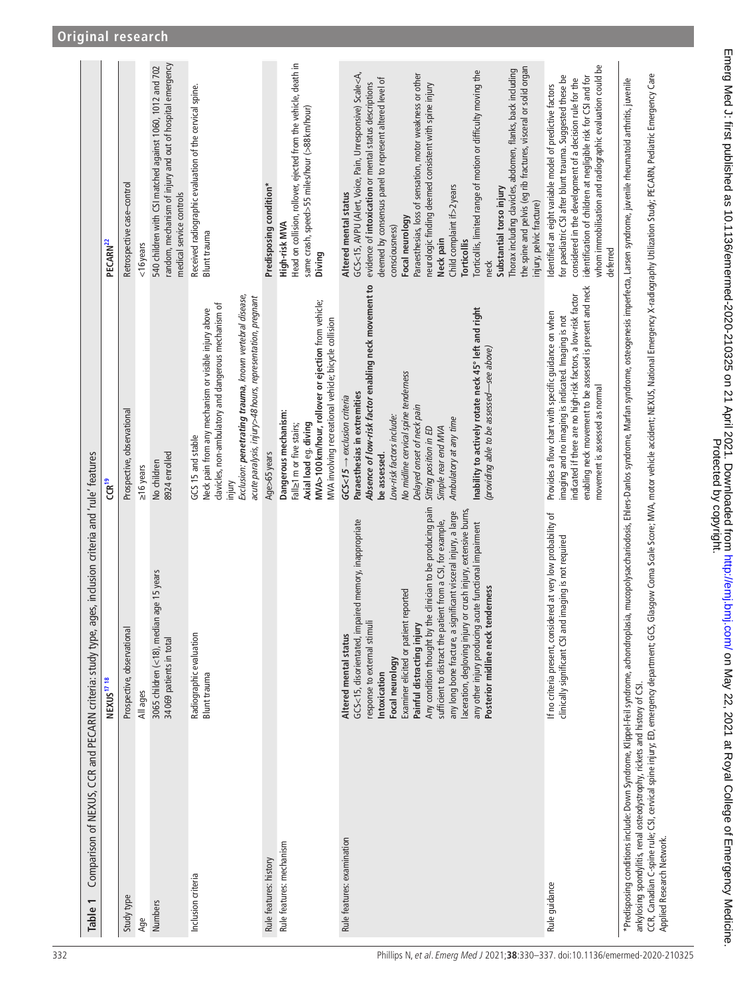<span id="page-2-0"></span>

| Table 1                                                                                                                                                                                           | Comparison of NEXUS, CCR and PECARN criteria: study type, ages, inclusion criteria and 'rule' features                                                                                                                                                                                                                                                                                                                                                                                                                                                                                                                                                                                                                    |                                                                                                                                                                                                                                                                                                                                                                                                                                                                                                                                                                                                                                                                                                                        |                                                                                                                                                                                                                                                                                                                                                                                                                                                                                                                                                                                                                                                                                                                                                                                                                                                                                                                                                                                                                                                            |
|---------------------------------------------------------------------------------------------------------------------------------------------------------------------------------------------------|---------------------------------------------------------------------------------------------------------------------------------------------------------------------------------------------------------------------------------------------------------------------------------------------------------------------------------------------------------------------------------------------------------------------------------------------------------------------------------------------------------------------------------------------------------------------------------------------------------------------------------------------------------------------------------------------------------------------------|------------------------------------------------------------------------------------------------------------------------------------------------------------------------------------------------------------------------------------------------------------------------------------------------------------------------------------------------------------------------------------------------------------------------------------------------------------------------------------------------------------------------------------------------------------------------------------------------------------------------------------------------------------------------------------------------------------------------|------------------------------------------------------------------------------------------------------------------------------------------------------------------------------------------------------------------------------------------------------------------------------------------------------------------------------------------------------------------------------------------------------------------------------------------------------------------------------------------------------------------------------------------------------------------------------------------------------------------------------------------------------------------------------------------------------------------------------------------------------------------------------------------------------------------------------------------------------------------------------------------------------------------------------------------------------------------------------------------------------------------------------------------------------------|
|                                                                                                                                                                                                   | NEXUS <sup>1718</sup>                                                                                                                                                                                                                                                                                                                                                                                                                                                                                                                                                                                                                                                                                                     | CCR <sup>19</sup>                                                                                                                                                                                                                                                                                                                                                                                                                                                                                                                                                                                                                                                                                                      | PECARN <sup>22</sup>                                                                                                                                                                                                                                                                                                                                                                                                                                                                                                                                                                                                                                                                                                                                                                                                                                                                                                                                                                                                                                       |
| Study type                                                                                                                                                                                        | Prospective, observational                                                                                                                                                                                                                                                                                                                                                                                                                                                                                                                                                                                                                                                                                                | Prospective, observational                                                                                                                                                                                                                                                                                                                                                                                                                                                                                                                                                                                                                                                                                             | Retrospective case-control                                                                                                                                                                                                                                                                                                                                                                                                                                                                                                                                                                                                                                                                                                                                                                                                                                                                                                                                                                                                                                 |
| Age                                                                                                                                                                                               | All ages                                                                                                                                                                                                                                                                                                                                                                                                                                                                                                                                                                                                                                                                                                                  | $\geq$ 16 years                                                                                                                                                                                                                                                                                                                                                                                                                                                                                                                                                                                                                                                                                                        | <16 years                                                                                                                                                                                                                                                                                                                                                                                                                                                                                                                                                                                                                                                                                                                                                                                                                                                                                                                                                                                                                                                  |
| <b>Numbers</b>                                                                                                                                                                                    | 3065 children (<18), median age 15 years<br>34069 patients in total                                                                                                                                                                                                                                                                                                                                                                                                                                                                                                                                                                                                                                                       | 8924 enrolled<br>No children                                                                                                                                                                                                                                                                                                                                                                                                                                                                                                                                                                                                                                                                                           | random, mechanism of injury and out of hospital emergency<br>540 children with CSI matched against 1060, 1012 and 702<br>medical service controls                                                                                                                                                                                                                                                                                                                                                                                                                                                                                                                                                                                                                                                                                                                                                                                                                                                                                                          |
| Indusion criteria                                                                                                                                                                                 | Radiographic evaluation<br><b>Blunt trauma</b>                                                                                                                                                                                                                                                                                                                                                                                                                                                                                                                                                                                                                                                                            | Exclusion: penetrating trauma, known vertebral disease,<br>acute paralysis, injury>48 hours, representation, pregnant<br>davicles, non-ambulatory and dangerous mechanism of<br>Neck pain from any mechanism or visible injury above<br>GCS 15 and stable<br>mjury                                                                                                                                                                                                                                                                                                                                                                                                                                                     | Received radiographic evaluation of the cervical spine.<br>Blunt trauma                                                                                                                                                                                                                                                                                                                                                                                                                                                                                                                                                                                                                                                                                                                                                                                                                                                                                                                                                                                    |
| Rule features: history                                                                                                                                                                            |                                                                                                                                                                                                                                                                                                                                                                                                                                                                                                                                                                                                                                                                                                                           | Age>65 years                                                                                                                                                                                                                                                                                                                                                                                                                                                                                                                                                                                                                                                                                                           | Predisposing condition*                                                                                                                                                                                                                                                                                                                                                                                                                                                                                                                                                                                                                                                                                                                                                                                                                                                                                                                                                                                                                                    |
| Rule features: mechanism                                                                                                                                                                          |                                                                                                                                                                                                                                                                                                                                                                                                                                                                                                                                                                                                                                                                                                                           | MVA>100 km/hour, rollover or ejection from vehicle;<br>MVA involving recreational vehicle; bicycle collision<br>Dangerous mechanism:<br>Axial load eg. diving<br>Fall>1m or five stairs;                                                                                                                                                                                                                                                                                                                                                                                                                                                                                                                               | Head on collision, rollover, ejected from the vehicle, death in<br>same crash, speed>55 miles/hour (>88 km/hour)<br>High-risk MVA<br>Diving                                                                                                                                                                                                                                                                                                                                                                                                                                                                                                                                                                                                                                                                                                                                                                                                                                                                                                                |
| Rule features: examination<br>Rule guidance                                                                                                                                                       | Any condition thought by the clinician to be producing pain<br>laceration, degloving injury or crush injury, extensive burns,<br>any long bone fracture, a significant visceral injury, a large<br>If no criteria present, considered at very low probability of<br>sufficient to distract the patient from a CSI, for example,<br>GCS<15, disorientated, impaired memory, inappropriate<br>any other injury producing acute functional impairment<br>clinically significant CSI and imaging is not required<br>lerness<br>Examiner elicited or patient reported<br>Posterior midline neck tend<br>response to external stimuli<br>Painful distracting injury<br>Altered mental status<br>Focal neurology<br>Intoxication | Absence of low-risk factor enabling neck movement to<br>enabling neck movement to be assessed is present and neck<br>indicated if there are no high-risk factors, a low-risk factor<br>Inability to actively rotate neck 45° left and right<br>Provides a flow chart with specific guidance on when<br>imaging and no imaging is indicated. Imaging is not<br>(providing able to be assessed-see above)<br>No midline cervical spine tenderness<br>movement is assessed as normal<br>Paraesthesias in extremities<br>$GCS < 15$ $\rightarrow$ exclusion criteria<br>Delayed onset of neck pain<br>Low-risk factors include:<br>Ambulatory at any time<br>Sitting position in ED<br>Simple rear end MVA<br>be assessed. | whom immobilisation and radiographic evaluation could be<br>the spine and pelvis (eg rib fractures, visceral or solid organ<br>Thorax including clavicles, abdomen, flanks, back including<br>Torticollis, limited range of motion or difficulty moving the<br>GCS<15, AVPU (Alert, Voice, Pain, Unresponsive) Scale <a,<br>Paraesthesias, loss of sensation, motor weakness or other<br/>for paediatric CSI after blunt trauma. Suggested these be<br/>identification of children at negligible risk for CSI and for<br/>deemed by consensus panel to represent altered level of<br/>considered in the development of a decision rule for the<br/>evidence of intoxication or mental status descriptions<br/>neurologic finding deemed consistent with spine injury<br/>Identified an eight variable model of predictive factors<br/>Child complaint if&gt;2 years<br/>Substantial torso injury<br/>Altered mental status<br/>injury, pelvic fracture)<br/>Focal neurology<br/>consciousness)<br/>Neck pain<br/>Torticollis<br/>deferred<br/>neck</a,<br> |
| *Predisposing conditions include: Down Syndrome, Klippel-Feil syndrome, achondroplasia,<br>ankylosing spondylitis, renal osteodystrophy, rickets and history of CSI.<br>Applied Research Network. | CCR, Canadian C-spine rule; CSI, cervical spine injury; ED, emergency department; GCs, Glasgow Coma Scale Score; MVA, motor vehicle accident; NEXUS, National Emergency X-radiography Utilization Study; PECARN, Pediatric Eme                                                                                                                                                                                                                                                                                                                                                                                                                                                                                            | mucopolysacchariodosis, Ehlers-Danlos syndrome, Marfan syndrome, osteogenesis imperfecta, Larsen syndrome, juvenile rheumatoid arthritis, juvenile                                                                                                                                                                                                                                                                                                                                                                                                                                                                                                                                                                     |                                                                                                                                                                                                                                                                                                                                                                                                                                                                                                                                                                                                                                                                                                                                                                                                                                                                                                                                                                                                                                                            |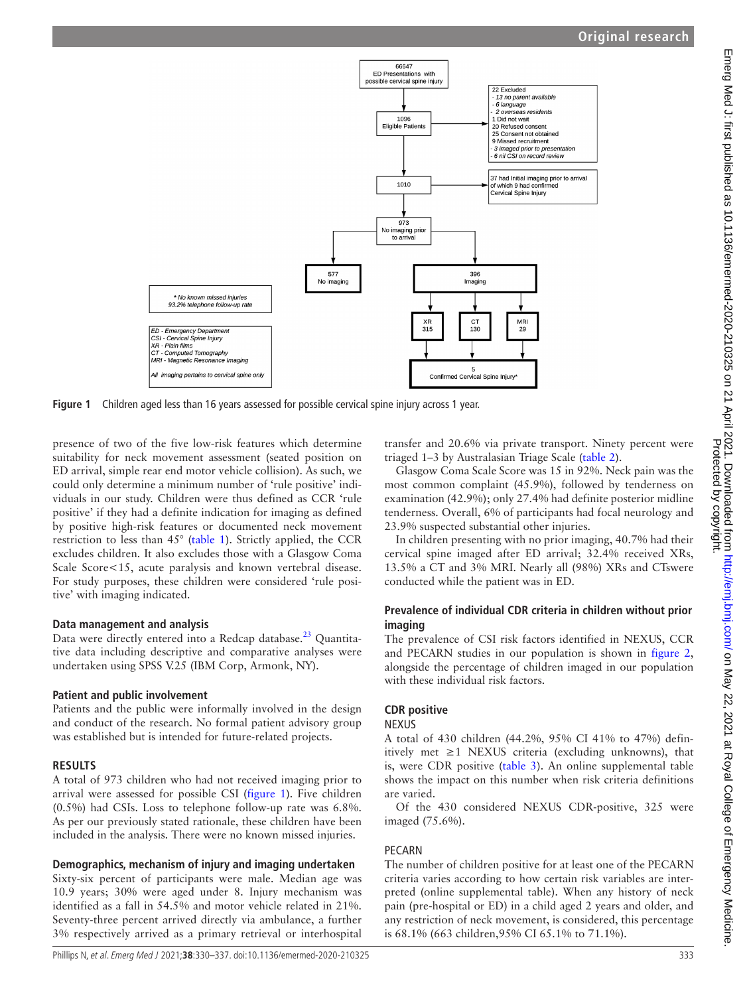

**Figure 1** Children aged less than 16 years assessed for possible cervical spine injury across 1 year.

presence of two of the five low-risk features which determine suitability for neck movement assessment (seated position on ED arrival, simple rear end motor vehicle collision). As such, we could only determine a minimum number of 'rule positive' individuals in our study. Children were thus defined as CCR 'rule positive' if they had a definite indication for imaging as defined by positive high-risk features or documented neck movement restriction to less than 45° ([table](#page-2-0) 1). Strictly applied, the CCR excludes children. It also excludes those with a Glasgow Coma Scale Score < 15, acute paralysis and known vertebral disease. For study purposes, these children were considered 'rule positive' with imaging indicated.

### **Data management and analysis**

Data were directly entered into a Redcap database.<sup>[23](#page-7-5)</sup> Quantitative data including descriptive and comparative analyses were undertaken using SPSS V.25 (IBM Corp, Armonk, NY).

### **Patient and public involvement**

Patients and the public were informally involved in the design and conduct of the research. No formal patient advisory group was established but is intended for future-related projects.

## **RESULTS**

A total of 973 children who had not received imaging prior to arrival were assessed for possible CSI [\(figure](#page-3-0) 1). Five children (0.5%) had CSIs. Loss to telephone follow-up rate was 6.8%. As per our previously stated rationale, these children have been included in the analysis. There were no known missed injuries.

## **Demographics, mechanism of injury and imaging undertaken**

Sixty-six percent of participants were male. Median age was 10.9 years; 30% were aged under 8. Injury mechanism was identified as a fall in 54.5% and motor vehicle related in 21%. Seventy-three percent arrived directly via ambulance, a further 3% respectively arrived as a primary retrieval or interhospital

<span id="page-3-0"></span>transfer and 20.6% via private transport. Ninety percent were triaged 1–3 by Australasian Triage Scale ([table](#page-4-0) 2).

Glasgow Coma Scale Score was 15 in 92%. Neck pain was the most common complaint (45.9%), followed by tenderness on examination (42.9%); only 27.4% had definite posterior midline tenderness. Overall, 6% of participants had focal neurology and 23.9% suspected substantial other injuries.

In children presenting with no prior imaging, 40.7% had their cervical spine imaged after ED arrival; 32.4% received XRs, 13.5% a CT and 3% MRI. Nearly all (98%) XRs and CTswere conducted while the patient was in ED.

## **Prevalence of individual CDR criteria in children without prior imaging**

The prevalence of CSI risk factors identified in NEXUS, CCR and PECARN studies in our population is shown in [figure](#page-5-0) 2, alongside the percentage of children imaged in our population with these individual risk factors.

## **CDR positive**

### NEXUS

A total of 430 children (44.2%, 95% CI 41% to 47%) definitively met  $\geq 1$  NEXUS criteria (excluding unknowns), that is, were CDR positive ([table](#page-5-1) 3). [An online supplemental table](https://dx.doi.org/10.1136/emermed-2020-210325) shows the impact on this number when risk criteria definitions are varied.

Of the 430 considered NEXUS CDR-positive, 325 were imaged (75.6%).

## PECARN

The number of children positive for at least one of the PECARN criteria varies according to how certain risk variables are interpreted [\(online supplemental table\)](https://dx.doi.org/10.1136/emermed-2020-210325). When any history of neck pain (pre-hospital or ED) in a child aged 2 years and older, and any restriction of neck movement, is considered, this percentage is 68.1% (663 children,95% CI 65.1% to 71.1%).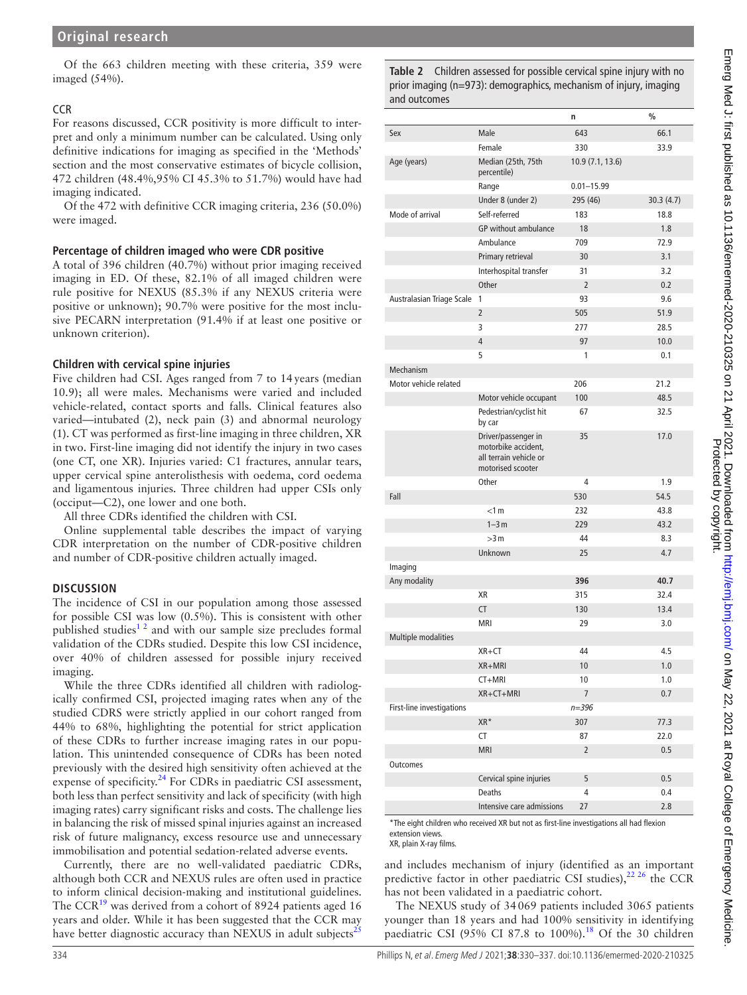Of the 663 children meeting with these criteria, 359 were imaged (54%).

#### **CCR**

For reasons discussed, CCR positivity is more difficult to interpret and only a minimum number can be calculated. Using only definitive indications for imaging as specified in the 'Methods' section and the most conservative estimates of bicycle collision, 472 children (48.4%,95% CI 45.3% to 51.7%) would have had imaging indicated.

Of the 472 with definitive CCR imaging criteria, 236 (50.0%) were imaged.

#### **Percentage of children imaged who were CDR positive**

A total of 396 children (40.7%) without prior imaging received imaging in ED. Of these, 82.1% of all imaged children were rule positive for NEXUS (85.3% if any NEXUS criteria were positive or unknown); 90.7% were positive for the most inclusive PECARN interpretation (91.4% if at least one positive or unknown criterion).

### **Children with cervical spine injuries**

Five children had CSI. Ages ranged from 7 to 14years (median 10.9); all were males. Mechanisms were varied and included vehicle-related, contact sports and falls. Clinical features also varied—intubated (2), neck pain (3) and abnormal neurology (1). CT was performed as first-line imaging in three children, XR in two. First-line imaging did not identify the injury in two cases (one CT, one XR). Injuries varied: C1 fractures, annular tears, upper cervical spine anterolisthesis with oedema, cord oedema and ligamentous injuries. Three children had upper CSIs only (occiput—C2), one lower and one both.

All three CDRs identified the children with CSI.

[Online supplemental table](https://dx.doi.org/10.1136/emermed-2020-210325) describes the impact of varying CDR interpretation on the number of CDR-positive children and number of CDR-positive children actually imaged.

### **DISCUSSION**

The incidence of CSI in our population among those assessed for possible CSI was low (0.5%). This is consistent with other published studies<sup>12</sup> and with our sample size precludes formal validation of the CDRs studied. Despite this low CSI incidence, over 40% of children assessed for possible injury received imaging.

While the three CDRs identified all children with radiologically confirmed CSI, projected imaging rates when any of the studied CDRS were strictly applied in our cohort ranged from 44% to 68%, highlighting the potential for strict application of these CDRs to further increase imaging rates in our population. This unintended consequence of CDRs has been noted previously with the desired high sensitivity often achieved at the expense of specificity.<sup>24</sup> For CDRs in paediatric CSI assessment, both less than perfect sensitivity and lack of specificity (with high imaging rates) carry significant risks and costs. The challenge lies in balancing the risk of missed spinal injuries against an increased risk of future malignancy, excess resource use and unnecessary immobilisation and potential sedation-related adverse events.

Currently, there are no well-validated paediatric CDRs, although both CCR and NEXUS rules are often used in practice to inform clinical decision-making and institutional guidelines. The  $CCR^{19}$  was derived from a cohort of 8924 patients aged 16 years and older. While it has been suggested that the CCR may have better diagnostic accuracy than NEXUS in adult subjects $25$ 

<span id="page-4-0"></span>**Table 2** Children assessed for possible cervical spine injury with no prior imaging (n=973): demographics, mechanism of injury, imaging and outcomes

|                           |                                                                                           | n                | $\%$       |
|---------------------------|-------------------------------------------------------------------------------------------|------------------|------------|
| Sex                       | Male                                                                                      | 643              | 66.1       |
|                           | Female                                                                                    | 330              | 33.9       |
| Age (years)               | Median (25th, 75th<br>percentile)                                                         | 10.9 (7.1, 13.6) |            |
|                           | Range                                                                                     | $0.01 - 15.99$   |            |
|                           | Under 8 (under 2)                                                                         | 295 (46)         | 30.3(4.7)  |
| Mode of arrival           | Self-referred                                                                             | 183              | 18.8       |
|                           | GP without ambulance                                                                      | 18               | 1.8        |
|                           | Ambulance                                                                                 | 709              | 72.9       |
|                           | Primary retrieval                                                                         | 30               | 3.1        |
|                           | Interhospital transfer                                                                    | 31               | 3.2        |
|                           | Other                                                                                     | $\overline{2}$   | 0.2        |
| Australasian Triage Scale | 1                                                                                         | 93               | 9.6        |
|                           | $\overline{2}$                                                                            | 505              | 51.9       |
|                           | 3                                                                                         | 277              | 28.5       |
|                           | $\overline{4}$                                                                            | 97               | 10.0       |
|                           | 5                                                                                         | 1                | 0.1        |
| Mechanism                 |                                                                                           |                  |            |
| Motor vehicle related     |                                                                                           | 206              | 21.2       |
|                           | Motor vehicle occupant                                                                    | 100              | 48.5       |
|                           | Pedestrian/cyclist hit<br>by car                                                          | 67               | 32.5       |
|                           | Driver/passenger in<br>motorbike accident.<br>all terrain vehicle or<br>motorised scooter | 35               | 17.0       |
|                           | Other                                                                                     | 4                | 1.9        |
| Fall                      |                                                                                           | 530              | 54.5       |
|                           | < 1 m                                                                                     | 232              | 43.8       |
|                           | $1-3m$                                                                                    | 229              | 43.2       |
|                           | >3 m                                                                                      | 44               | 8.3        |
|                           | Unknown                                                                                   | 25               | 4.7        |
| Imaging                   |                                                                                           |                  |            |
| Any modality              |                                                                                           | 396              | 40.7       |
|                           | XR                                                                                        | 315              | 32.4       |
|                           | <b>CT</b>                                                                                 | 130              | 13.4       |
|                           | <b>MRI</b>                                                                                | 29               | 3.0        |
| Multiple modalities       |                                                                                           |                  |            |
|                           | $XR+CT$                                                                                   | 44               | 4.5        |
|                           | XR+MRI                                                                                    | 10               | 1.0        |
|                           | CT+MRI                                                                                    | 10               | 1.0        |
|                           | XR+CT+MRI                                                                                 | $\overline{7}$   | 0.7        |
| First-line investigations |                                                                                           | $n = 396$        |            |
|                           | XR*                                                                                       | 307              | 77.3       |
|                           | CT                                                                                        | 87               | 22.0       |
|                           | <b>MRI</b>                                                                                | $\overline{2}$   | 0.5        |
| <b>Outcomes</b>           |                                                                                           |                  |            |
|                           | Cervical spine injuries<br>Deaths                                                         | 5                | 0.5<br>0.4 |
|                           | Intensive care admissions                                                                 | 4<br>27          | 2.8        |
|                           |                                                                                           |                  |            |

\*The eight children who received XR but not as first-line investigations all had flexion extension views.

XR, plain X-ray films.

and includes mechanism of injury (identified as an important predictive factor in other paediatric CSI studies),<sup>[22 26](#page-7-4)</sup> the CCR has not been validated in a paediatric cohort.

The NEXUS study of 34069 patients included 3065 patients younger than 18 years and had 100% sensitivity in identifying paediatric CSI (95% CI 87.8 to 100%).<sup>18</sup> Of the 30 children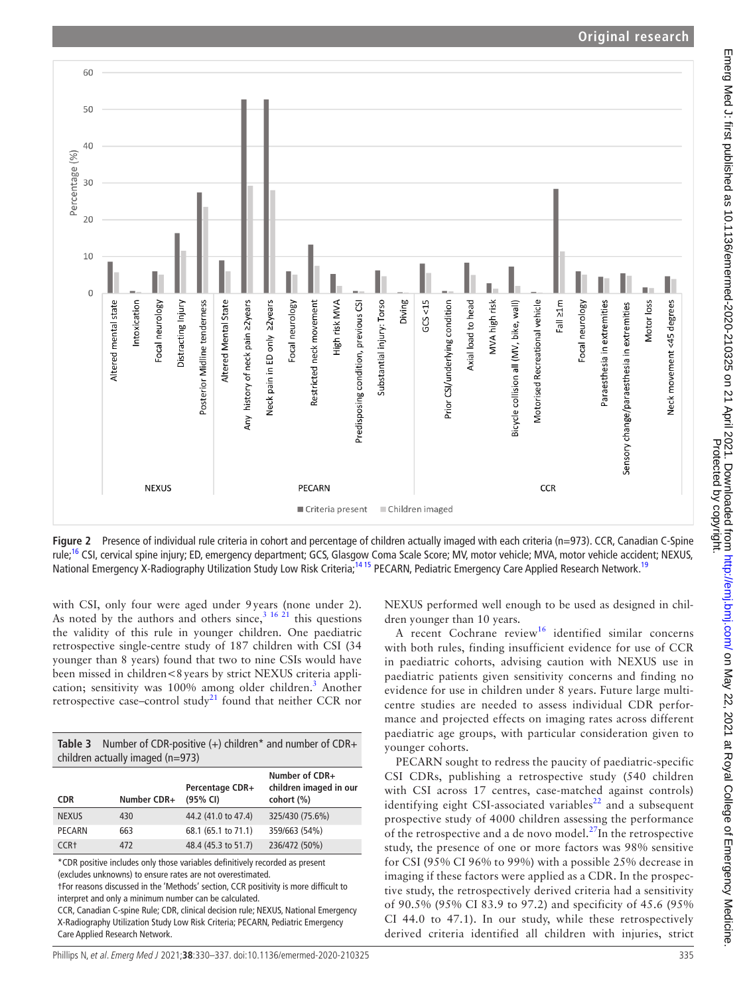

<span id="page-5-0"></span>**Figure 2** Presence of individual rule criteria in cohort and percentage of children actually imaged with each criteria (n=973). CCR, Canadian C-Spine rule;<sup>16</sup> CSI, cervical spine injury; ED, emergency department; GCS, Glasgow Coma Scale Score; MV, motor vehicle; MVA, motor vehicle accident; NEXUS, National Emergency X-Radiography Utilization Study Low Risk Criteria;<sup>1415</sup> PECARN, Pediatric Emergency Care Applied Research Network.<sup>19</sup>

with CSI, only four were aged under 9years (none under 2). As noted by the authors and others since,  $3^{3}$  16 21 this questions the validity of this rule in younger children. One paediatric retrospective single-centre study of 187 children with CSI (34 younger than 8 years) found that two to nine CSIs would have been missed in children<8years by strict NEXUS criteria application; sensitivity was 100% among older children.<sup>3</sup> Another retrospective case–control study<sup>21</sup> found that neither CCR nor

<span id="page-5-1"></span>

| <b>Table 3</b> Number of CDR-positive $(+)$ children* and number of CDR+<br>children actually imaged (n=973) |             |                             |                                                        |  |
|--------------------------------------------------------------------------------------------------------------|-------------|-----------------------------|--------------------------------------------------------|--|
| <b>CDR</b>                                                                                                   | Number CDR+ | Percentage CDR+<br>(95% CI) | Number of CDR+<br>children imaged in our<br>cohort (%) |  |
| <b>NFXUS</b>                                                                                                 | 430         | 44.2 (41.0 to 47.4)         | 325/430 (75.6%)                                        |  |
| <b>PFCARN</b>                                                                                                | 663         | 68.1 (65.1 to 71.1)         | 359/663 (54%)                                          |  |
| CCR <sup>+</sup>                                                                                             | 472         | 48.4 (45.3 to 51.7)         | 236/472 (50%)                                          |  |

\*CDR positive includes only those variables definitively recorded as present (excludes unknowns) to ensure rates are not overestimated.

†For reasons discussed in the 'Methods' section, CCR positivity is more difficult to interpret and only a minimum number can be calculated.

CCR, Canadian C-spine Rule; CDR, clinical decision rule; NEXUS, National Emergency X-Radiography Utilization Study Low Risk Criteria; PECARN, Pediatric Emergency Care Applied Research Network.

NEXUS performed well enough to be used as designed in children younger than 10 years.

A recent Cochrane review<sup>16</sup> identified similar concerns with both rules, finding insufficient evidence for use of CCR in paediatric cohorts, advising caution with NEXUS use in paediatric patients given sensitivity concerns and finding no evidence for use in children under 8 years. Future large multicentre studies are needed to assess individual CDR performance and projected effects on imaging rates across different paediatric age groups, with particular consideration given to younger cohorts.

PECARN sought to redress the paucity of paediatric-specific CSI CDRs, publishing a retrospective study (540 children with CSI across 17 centres, case-matched against controls) identifying eight CSI-associated variables $^{22}$  and a subsequent prospective study of 4000 children assessing the performance of the retrospective and a de novo model.[27I](#page-7-11)n the retrospective study, the presence of one or more factors was 98% sensitive for CSI (95% CI 96% to 99%) with a possible 25% decrease in imaging if these factors were applied as a CDR. In the prospective study, the retrospectively derived criteria had a sensitivity of 90.5% (95% CI 83.9 to 97.2) and specificity of 45.6 (95% CI 44.0 to 47.1). In our study, while these retrospectively derived criteria identified all children with injuries, strict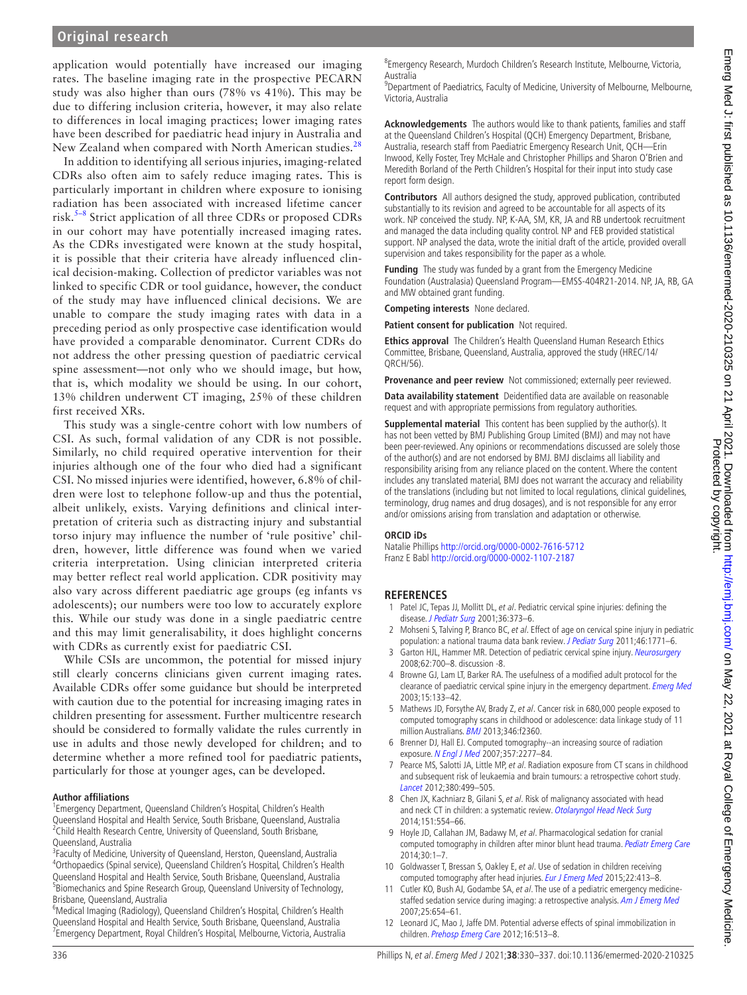## **Original research**

application would potentially have increased our imaging rates. The baseline imaging rate in the prospective PECARN study was also higher than ours (78% vs 41%). This may be due to differing inclusion criteria, however, it may also relate to differences in local imaging practices; lower imaging rates have been described for paediatric head injury in Australia and New Zealand when compared with North American studies.<sup>[28](#page-7-12)</sup>

In addition to identifying all serious injuries, imaging-related CDRs also often aim to safely reduce imaging rates. This is particularly important in children where exposure to ionising radiation has been associated with increased lifetime cancer risk.<sup>[5–8](#page-6-1)</sup> Strict application of all three CDRs or proposed CDRs in our cohort may have potentially increased imaging rates. As the CDRs investigated were known at the study hospital, it is possible that their criteria have already influenced clinical decision-making. Collection of predictor variables was not linked to specific CDR or tool guidance, however, the conduct of the study may have influenced clinical decisions. We are unable to compare the study imaging rates with data in a preceding period as only prospective case identification would have provided a comparable denominator. Current CDRs do not address the other pressing question of paediatric cervical spine assessment—not only who we should image, but how, that is, which modality we should be using. In our cohort, 13% children underwent CT imaging, 25% of these children first received XRs.

This study was a single-centre cohort with low numbers of CSI. As such, formal validation of any CDR is not possible. Similarly, no child required operative intervention for their injuries although one of the four who died had a significant CSI. No missed injuries were identified, however, 6.8% of children were lost to telephone follow-up and thus the potential, albeit unlikely, exists. Varying definitions and clinical interpretation of criteria such as distracting injury and substantial torso injury may influence the number of 'rule positive' children, however, little difference was found when we varied criteria interpretation. Using clinician interpreted criteria may better reflect real world application. CDR positivity may also vary across different paediatric age groups (eg infants vs adolescents); our numbers were too low to accurately explore this. While our study was done in a single paediatric centre and this may limit generalisability, it does highlight concerns with CDRs as currently exist for paediatric CSI.

While CSIs are uncommon, the potential for missed injury still clearly concerns clinicians given current imaging rates. Available CDRs offer some guidance but should be interpreted with caution due to the potential for increasing imaging rates in children presenting for assessment. Further multicentre research should be considered to formally validate the rules currently in use in adults and those newly developed for children; and to determine whether a more refined tool for paediatric patients, particularly for those at younger ages, can be developed.

#### **Author affiliations**

<sup>1</sup> Emergency Department, Queensland Children's Hospital, Children's Health Queensland Hospital and Health Service, South Brisbane, Queensland, Australia <sup>2</sup>Child Health Research Centre, University of Queensland, South Brisbane, Queensland, Australia

<sup>3</sup> Faculty of Medicine, University of Queensland, Herston, Queensland, Australia <sup>4</sup>Orthopaedics (Spinal service), Queensland Children's Hospital, Children's Health Queensland Hospital and Health Service, South Brisbane, Queensland, Australia <sup>5</sup>Biomechanics and Spine Research Group, Queensland University of Technology, Brisbane, Queensland, Australia

<sup>6</sup>Medical Imaging (Radiology), Queensland Children's Hospital, Children's Health Queensland Hospital and Health Service, South Brisbane, Queensland, Australia <sup>7</sup> Emergency Department, Royal Children's Hospital, Melbourne, Victoria, Australia <sup>8</sup>Emergency Research, Murdoch Children's Research Institute, Melbourne, Victoria, Australia

9 Department of Paediatrics, Faculty of Medicine, University of Melbourne, Melbourne, Victoria, Australia

**Acknowledgements** The authors would like to thank patients, families and staff at the Queensland Children's Hospital (QCH) Emergency Department, Brisbane, Australia, research staff from Paediatric Emergency Research Unit, QCH—Erin Inwood, Kelly Foster, Trey McHale and Christopher Phillips and Sharon O'Brien and Meredith Borland of the Perth Children's Hospital for their input into study case report form design.

**Contributors** All authors designed the study, approved publication, contributed substantially to its revision and agreed to be accountable for all aspects of its work. NP conceived the study. NP, K-AA, SM, KR, JA and RB undertook recruitment and managed the data including quality control. NP and FEB provided statistical support. NP analysed the data, wrote the initial draft of the article, provided overall supervision and takes responsibility for the paper as a whole.

**Funding** The study was funded by a grant from the Emergency Medicine Foundation (Australasia) Queensland Program—EMSS-404R21-2014. NP, JA, RB, GA and MW obtained grant funding.

**Competing interests** None declared.

**Patient consent for publication** Not required.

**Ethics approval** The Children's Health Queensland Human Research Ethics Committee, Brisbane, Queensland, Australia, approved the study (HREC/14/ QRCH/56).

**Provenance and peer review** Not commissioned; externally peer reviewed.

**Data availability statement** Deidentified data are available on reasonable request and with appropriate permissions from regulatory authorities.

**Supplemental material** This content has been supplied by the author(s). It has not been vetted by BMJ Publishing Group Limited (BMJ) and may not have been peer-reviewed. Any opinions or recommendations discussed are solely those of the author(s) and are not endorsed by BMJ. BMJ disclaims all liability and responsibility arising from any reliance placed on the content. Where the content includes any translated material, BMJ does not warrant the accuracy and reliability of the translations (including but not limited to local regulations, clinical guidelines, terminology, drug names and drug dosages), and is not responsible for any error and/or omissions arising from translation and adaptation or otherwise.

#### **ORCID iDs**

Natalie Phillips <http://orcid.org/0000-0002-7616-5712> Franz E Babl<http://orcid.org/0000-0002-1107-2187>

#### **REFERENCES**

- <span id="page-6-0"></span>1 Patel JC, Tepas JJ, Mollitt DL, et al. Pediatric cervical spine injuries: defining the disease. *[J Pediatr Surg](http://dx.doi.org/10.1053/jpsu.2001.20720)* 2001;36:373-6.
- 2 Mohseni S, Talving P, Branco BC, et al. Effect of age on cervical spine injury in pediatric population: a national trauma data bank review. [J Pediatr Surg](http://dx.doi.org/10.1016/j.jpedsurg.2011.03.007) 2011;46:1771-6.
- <span id="page-6-4"></span>3 Garton HJL, Hammer MR. Detection of pediatric cervical spine injury. [Neurosurgery](http://dx.doi.org/10.1227/01.NEU.0000311348.43207.B7) 2008;62:700–8. discussion -8.
- <span id="page-6-5"></span>4 Browne GJ, Lam LT, Barker RA. The usefulness of a modified adult protocol for the clearance of paediatric cervical spine injury in the emergency department. [Emerg Med](http://dx.doi.org/10.1046/j.1442-2026.2003.00345.x) 2003;15:133–42.
- <span id="page-6-1"></span>5 Mathews JD, Forsythe AV, Brady Z, et al. Cancer risk in 680,000 people exposed to computed tomography scans in childhood or adolescence: data linkage study of 11 million Australians. **[BMJ](http://dx.doi.org/10.1136/bmj.f2360)** 2013;346:f2360.
- 6 Brenner DJ, Hall EJ. Computed tomography--an increasing source of radiation exposure. [N Engl J Med](http://dx.doi.org/10.1056/NEJMra072149) 2007;357:2277–84.
- 7 Pearce MS, Salotti JA, Little MP, et al. Radiation exposure from CT scans in childhood and subsequent risk of leukaemia and brain tumours: a retrospective cohort study. [Lancet](http://dx.doi.org/10.1016/S0140-6736(12)60815-0) 2012;380:499–505.
- 8 Chen JX, Kachniarz B, Gilani S, et al. Risk of malignancy associated with head and neck CT in children: a systematic review. [Otolaryngol Head Neck Surg](http://dx.doi.org/10.1177/0194599814542588) 2014;151:554–66.
- <span id="page-6-2"></span>9 Hoyle JD, Callahan JM, Badawy M, et al. Pharmacological sedation for cranial computed tomography in children after minor blunt head trauma. [Pediatr Emerg Care](http://dx.doi.org/10.1097/PEC.0000000000000059) 2014;30:1–7.
- 10 Goldwasser T, Bressan S, Oakley E, et al. Use of sedation in children receiving computed tomography after head injuries. [Eur J Emerg Med](http://dx.doi.org/10.1097/MEJ.0000000000000201) 2015;22:413-8.
- 11 Cutler KO, Bush AJ, Godambe SA, et al. The use of a pediatric emergency medicine-staffed sedation service during imaging: a retrospective analysis. [Am J Emerg Med](http://dx.doi.org/10.1016/j.ajem.2006.11.043) 2007;25:654–61.
- <span id="page-6-3"></span>12 Leonard JC, Mao J, Jaffe DM. Potential adverse effects of spinal immobilization in children. [Prehosp Emerg Care](http://dx.doi.org/10.3109/10903127.2012.689925) 2012;16:513-8.